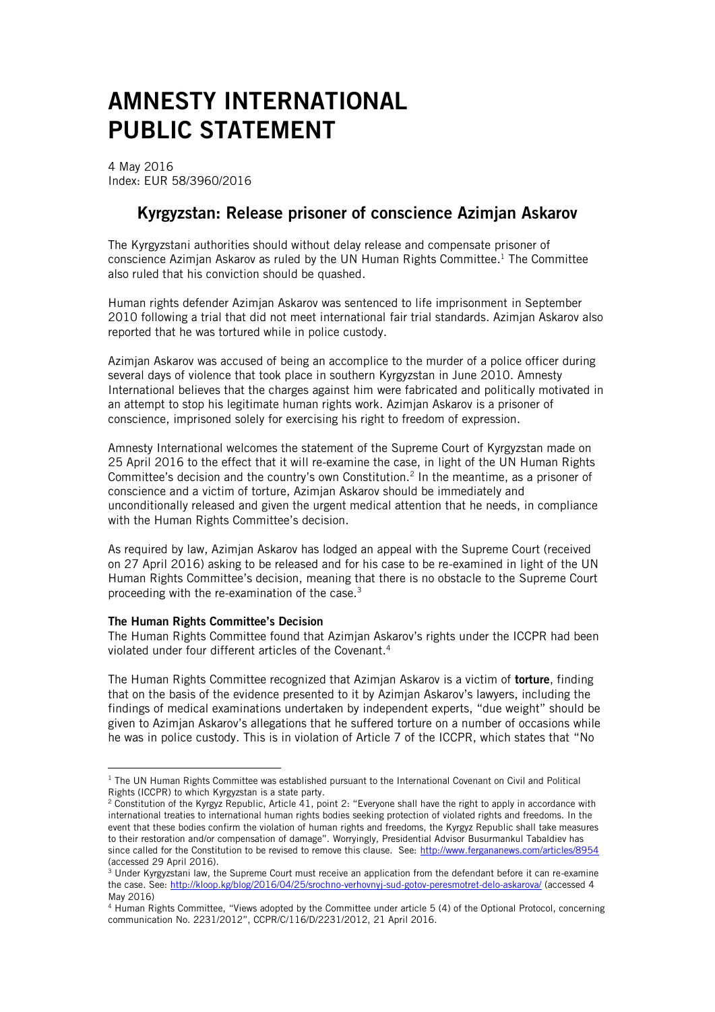# AMNESTY INTERNATIONAL PUBLIC STATEMENT

4 May 2016 Index: EUR 58/3960/2016

## Kyrgyzstan: Release prisoner of conscience Azimjan Askarov

The Kyrgyzstani authorities should without delay release and compensate prisoner of conscience Azimjan Askarov as ruled by the UN Human Rights Committee. <sup>1</sup> The Committee also ruled that his conviction should be quashed.

Human rights defender Azimjan Askarov was sentenced to life imprisonment in September 2010 following a trial that did not meet international fair trial standards. Azimjan Askarov also reported that he was tortured while in police custody.

Azimjan Askarov was accused of being an accomplice to the murder of a police officer during several days of violence that took place in southern Kyrgyzstan in June 2010. Amnesty International believes that the charges against him were fabricated and politically motivated in an attempt to stop his legitimate human rights work. Azimjan Askarov is a prisoner of conscience, imprisoned solely for exercising his right to freedom of expression.

Amnesty International welcomes the statement of the Supreme Court of Kyrgyzstan made on 25 April 2016 to the effect that it will re-examine the case, in light of the UN Human Rights Committee's decision and the country's own Constitution.<sup>2</sup> In the meantime, as a prisoner of conscience and a victim of torture, Azimjan Askarov should be immediately and unconditionally released and given the urgent medical attention that he needs, in compliance with the Human Rights Committee's decision.

As required by law, Azimjan Askarov has lodged an appeal with the Supreme Court (received on 27 April 2016) asking to be released and for his case to be re-examined in light of the UN Human Rights Committee's decision, meaning that there is no obstacle to the Supreme Court proceeding with the re-examination of the case. $3$ 

### The Human Rights Committee's Decision

<u>.</u>

The Human Rights Committee found that Azimjan Askarov's rights under the ICCPR had been violated under four different articles of the Covenant. 4

The Human Rights Committee recognized that Azimian Askarov is a victim of **torture**, finding that on the basis of the evidence presented to it by Azimjan Askarov's lawyers, including the findings of medical examinations undertaken by independent experts, "due weight" should be given to Azimjan Askarov's allegations that he suffered torture on a number of occasions while he was in police custody. This is in violation of Article 7 of the ICCPR, which states that "No

 $1$  The UN Human Rights Committee was established pursuant to the International Covenant on Civil and Political Rights (ICCPR) to which Kyrgyzstan is a state party.

<sup>&</sup>lt;sup>2</sup> Constitution of the Kyrgyz Republic, Article 41, point 2: "Everyone shall have the right to apply in accordance with international treaties to international human rights bodies seeking protection of violated rights and freedoms. In the event that these bodies confirm the violation of human rights and freedoms, the Kyrgyz Republic shall take measures to their restoration and/or compensation of damage". Worryingly, Presidential Advisor Busurmankul Tabaldiev has since called for the Constitution to be revised to remove this clause. See:<http://www.fergananews.com/articles/8954> (accessed 29 April 2016).

<sup>&</sup>lt;sup>3</sup> Under Kyrgyzstani law, the Supreme Court must receive an application from the defendant before it can re-examine the case. See:<http://kloop.kg/blog/2016/04/25/srochno-verhovnyj-sud-gotov-peresmotret-delo-askarova/> (accessed 4 May 2016)

<sup>4</sup> Human Rights Committee, "Views adopted by the Committee under article 5 (4) of the Optional Protocol, concerning communication No. 2231/2012", CCPR/C/116/D/2231/2012, 21 April 2016.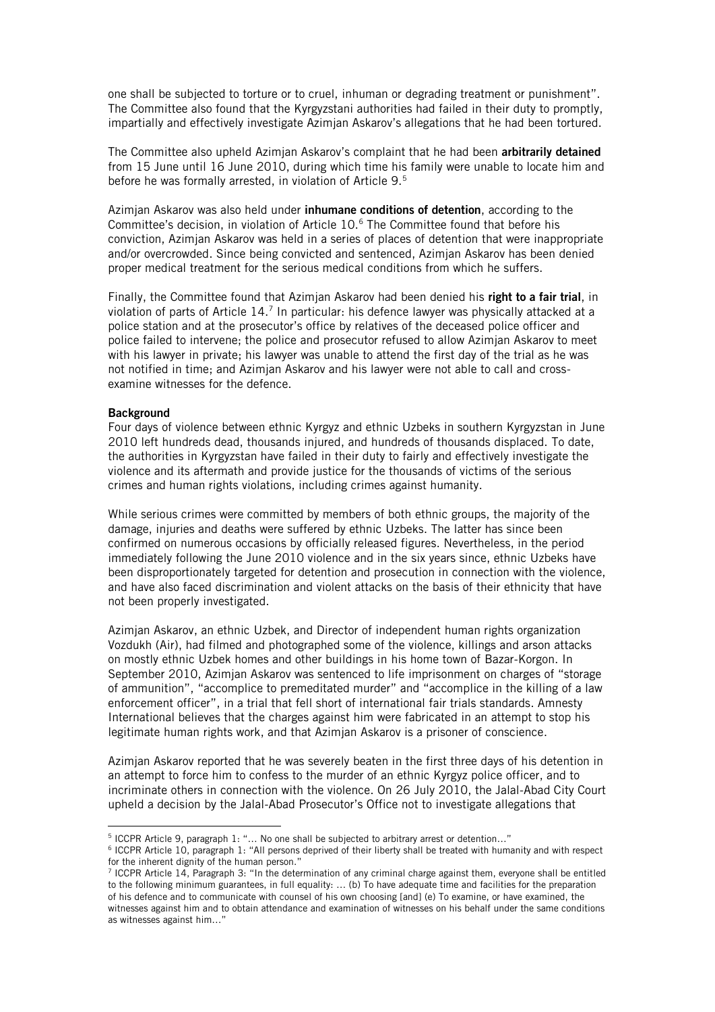one shall be subjected to torture or to cruel, inhuman or degrading treatment or punishment". The Committee also found that the Kyrgyzstani authorities had failed in their duty to promptly, impartially and effectively investigate Azimjan Askarov's allegations that he had been tortured.

The Committee also upheld Azimian Askarov's complaint that he had been arbitrarily detained from 15 June until 16 June 2010, during which time his family were unable to locate him and before he was formally arrested, in violation of Article 9.<sup>5</sup>

Azimjan Askarov was also held under inhumane conditions of detention, according to the Committee's decision, in violation of Article 10.<sup>6</sup> The Committee found that before his conviction, Azimjan Askarov was held in a series of places of detention that were inappropriate and/or overcrowded. Since being convicted and sentenced, Azimjan Askarov has been denied proper medical treatment for the serious medical conditions from which he suffers.

Finally, the Committee found that Azimian Askarov had been denied his right to a fair trial, in violation of parts of Article 14.<sup>7</sup> In particular: his defence lawyer was physically attacked at a police station and at the prosecutor's office by relatives of the deceased police officer and police failed to intervene; the police and prosecutor refused to allow Azimjan Askarov to meet with his lawyer in private; his lawyer was unable to attend the first day of the trial as he was not notified in time; and Azimjan Askarov and his lawyer were not able to call and crossexamine witnesses for the defence.

#### **Background**

1

Four days of violence between ethnic Kyrgyz and ethnic Uzbeks in southern Kyrgyzstan in June 2010 left hundreds dead, thousands injured, and hundreds of thousands displaced. To date, the authorities in Kyrgyzstan have failed in their duty to fairly and effectively investigate the violence and its aftermath and provide justice for the thousands of victims of the serious crimes and human rights violations, including crimes against humanity.

While serious crimes were committed by members of both ethnic groups, the majority of the damage, injuries and deaths were suffered by ethnic Uzbeks. The latter has since been confirmed on numerous occasions by officially released figures. Nevertheless, in the period immediately following the June 2010 violence and in the six years since, ethnic Uzbeks have been disproportionately targeted for detention and prosecution in connection with the violence, and have also faced discrimination and violent attacks on the basis of their ethnicity that have not been properly investigated.

Azimjan Askarov, an ethnic Uzbek, and Director of independent human rights organization Vozdukh (Air), had filmed and photographed some of the violence, killings and arson attacks on mostly ethnic Uzbek homes and other buildings in his home town of Bazar-Korgon. In September 2010, Azimjan Askarov was sentenced to life imprisonment on charges of "storage of ammunition", "accomplice to premeditated murder" and "accomplice in the killing of a law enforcement officer", in a trial that fell short of international fair trials standards. Amnesty International believes that the charges against him were fabricated in an attempt to stop his legitimate human rights work, and that Azimjan Askarov is a prisoner of conscience.

Azimjan Askarov reported that he was severely beaten in the first three days of his detention in an attempt to force him to confess to the murder of an ethnic Kyrgyz police officer, and to incriminate others in connection with the violence. On 26 July 2010, the Jalal-Abad City Court upheld a decision by the Jalal-Abad Prosecutor's Office not to investigate allegations that

<sup>5</sup> ICCPR Article 9, paragraph 1: "… No one shall be subjected to arbitrary arrest or detention…"

<sup>&</sup>lt;sup>6</sup> ICCPR Article 10, paragraph 1: "All persons deprived of their liberty shall be treated with humanity and with respect for the inherent dignity of the human person."

<sup>7</sup> ICCPR Article 14, Paragraph 3: "In the determination of any criminal charge against them, everyone shall be entitled to the following minimum guarantees, in full equality: ... (b) To have adequate time and facilities for the preparation of his defence and to communicate with counsel of his own choosing [and] (e) To examine, or have examined, the witnesses against him and to obtain attendance and examination of witnesses on his behalf under the same conditions as witnesses against him…"